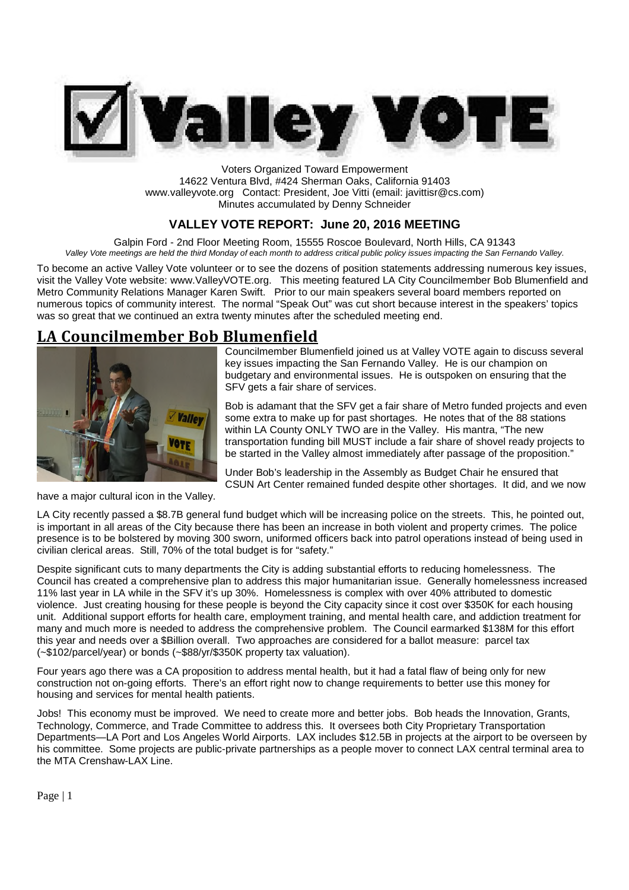

Voters Organized Toward Empowerment 14622 Ventura Blvd, #424 Sherman Oaks, California 91403 www.valleyvote.org Contact: President, Joe Vitti (email: javittisr@cs.com) Minutes accumulated by Denny Schneider

## **VALLEY VOTE REPORT: June 20, 2016 MEETING**

Galpin Ford - 2nd Floor Meeting Room, 15555 Roscoe Boulevard, North Hills, CA 91343 *Valley Vote meetings are held the third Monday of each month to address critical public policy issues impacting the San Fernando Valley.*

To become an active Valley Vote volunteer or to see the dozens of position statements addressing numerous key issues, visit the Valley Vote website: www.ValleyVOTE.org. This meeting featured LA City Councilmember Bob Blumenfield and Metro Community Relations Manager Karen Swift. Prior to our main speakers several board members reported on numerous topics of community interest. The normal "Speak Out" was cut short because interest in the speakers' topics was so great that we continued an extra twenty minutes after the scheduled meeting end.

## **LA Councilmember Bob Blumenfield**



Councilmember Blumenfield joined us at Valley VOTE again to discuss several key issues impacting the San Fernando Valley. He is our champion on budgetary and environmental issues. He is outspoken on ensuring that the SFV gets a fair share of services.

Bob is adamant that the SFV get a fair share of Metro funded projects and even some extra to make up for past shortages. He notes that of the 88 stations within LA County ONLY TWO are in the Valley. His mantra, "The new transportation funding bill MUST include a fair share of shovel ready projects to be started in the Valley almost immediately after passage of the proposition."

Under Bob's leadership in the Assembly as Budget Chair he ensured that CSUN Art Center remained funded despite other shortages. It did, and we now

have a major cultural icon in the Valley.

LA City recently passed a \$8.7B general fund budget which will be increasing police on the streets. This, he pointed out, is important in all areas of the City because there has been an increase in both violent and property crimes. The police presence is to be bolstered by moving 300 sworn, uniformed officers back into patrol operations instead of being used in civilian clerical areas. Still, 70% of the total budget is for "safety."

Despite significant cuts to many departments the City is adding substantial efforts to reducing homelessness. The Council has created a comprehensive plan to address this major humanitarian issue. Generally homelessness increased 11% last year in LA while in the SFV it's up 30%. Homelessness is complex with over 40% attributed to domestic violence. Just creating housing for these people is beyond the City capacity since it cost over \$350K for each housing unit. Additional support efforts for health care, employment training, and mental health care, and addiction treatment for many and much more is needed to address the comprehensive problem. The Council earmarked \$138M for this effort this year and needs over a \$Billion overall. Two approaches are considered for a ballot measure: parcel tax (~\$102/parcel/year) or bonds (~\$88/yr/\$350K property tax valuation).

Four years ago there was a CA proposition to address mental health, but it had a fatal flaw of being only for new construction not on-going efforts. There's an effort right now to change requirements to better use this money for housing and services for mental health patients.

Jobs! This economy must be improved. We need to create more and better jobs. Bob heads the Innovation, Grants, Technology, Commerce, and Trade Committee to address this. It oversees both City Proprietary Transportation Departments—LA Port and Los Angeles World Airports. LAX includes \$12.5B in projects at the airport to be overseen by his committee. Some projects are public-private partnerships as a people mover to connect LAX central terminal area to the MTA Crenshaw-LAX Line.

Page | 1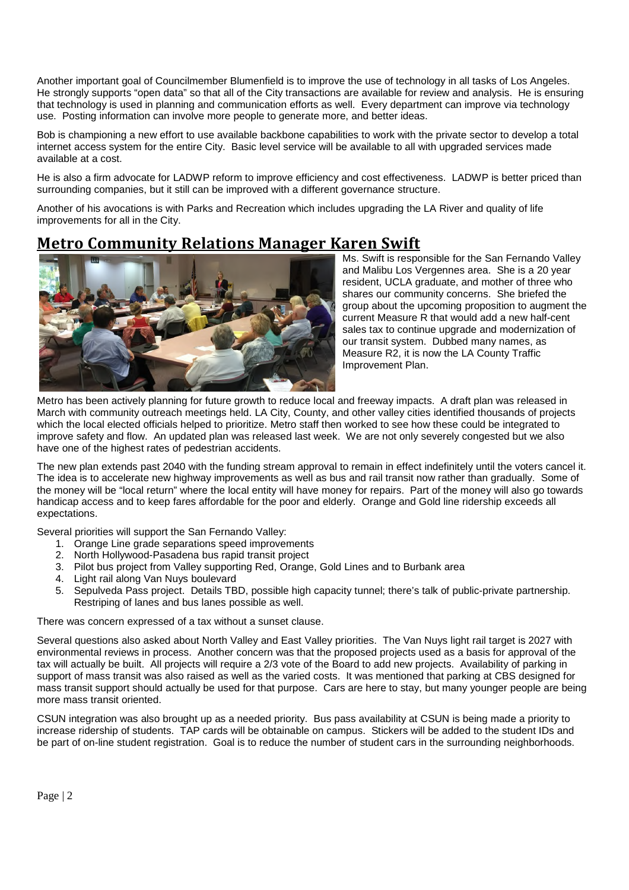Another important goal of Councilmember Blumenfield is to improve the use of technology in all tasks of Los Angeles. He strongly supports "open data" so that all of the City transactions are available for review and analysis. He is ensuring that technology is used in planning and communication efforts as well. Every department can improve via technology use. Posting information can involve more people to generate more, and better ideas.

Bob is championing a new effort to use available backbone capabilities to work with the private sector to develop a total internet access system for the entire City. Basic level service will be available to all with upgraded services made available at a cost.

He is also a firm advocate for LADWP reform to improve efficiency and cost effectiveness. LADWP is better priced than surrounding companies, but it still can be improved with a different governance structure.

Another of his avocations is with Parks and Recreation which includes upgrading the LA River and quality of life improvements for all in the City.

# **Metro Community Relations Manager Karen Swift**



Ms. Swift is responsible for the San Fernando Valley and Malibu Los Vergennes area. She is a 20 year resident, UCLA graduate, and mother of three who shares our community concerns. She briefed the group about the upcoming proposition to augment the current Measure R that would add a new half-cent sales tax to continue upgrade and modernization of our transit system. Dubbed many names, as Measure R2, it is now the LA County Traffic Improvement Plan.

Metro has been actively planning for future growth to reduce local and freeway impacts. A draft plan was released in March with community outreach meetings held. LA City, County, and other valley cities identified thousands of projects which the local elected officials helped to prioritize. Metro staff then worked to see how these could be integrated to improve safety and flow. An updated plan was released last week. We are not only severely congested but we also have one of the highest rates of pedestrian accidents.

The new plan extends past 2040 with the funding stream approval to remain in effect indefinitely until the voters cancel it. The idea is to accelerate new highway improvements as well as bus and rail transit now rather than gradually. Some of the money will be "local return" where the local entity will have money for repairs. Part of the money will also go towards handicap access and to keep fares affordable for the poor and elderly. Orange and Gold line ridership exceeds all expectations.

Several priorities will support the San Fernando Valley:

- 1. Orange Line grade separations speed improvements
- 2. North Hollywood-Pasadena bus rapid transit project
- 3. Pilot bus project from Valley supporting Red, Orange, Gold Lines and to Burbank area
- 4. Light rail along Van Nuys boulevard
- 5. Sepulveda Pass project. Details TBD, possible high capacity tunnel; there's talk of public-private partnership. Restriping of lanes and bus lanes possible as well.

There was concern expressed of a tax without a sunset clause.

Several questions also asked about North Valley and East Valley priorities. The Van Nuys light rail target is 2027 with environmental reviews in process. Another concern was that the proposed projects used as a basis for approval of the tax will actually be built. All projects will require a 2/3 vote of the Board to add new projects. Availability of parking in support of mass transit was also raised as well as the varied costs. It was mentioned that parking at CBS designed for mass transit support should actually be used for that purpose. Cars are here to stay, but many younger people are being more mass transit oriented.

CSUN integration was also brought up as a needed priority. Bus pass availability at CSUN is being made a priority to increase ridership of students. TAP cards will be obtainable on campus. Stickers will be added to the student IDs and be part of on-line student registration. Goal is to reduce the number of student cars in the surrounding neighborhoods.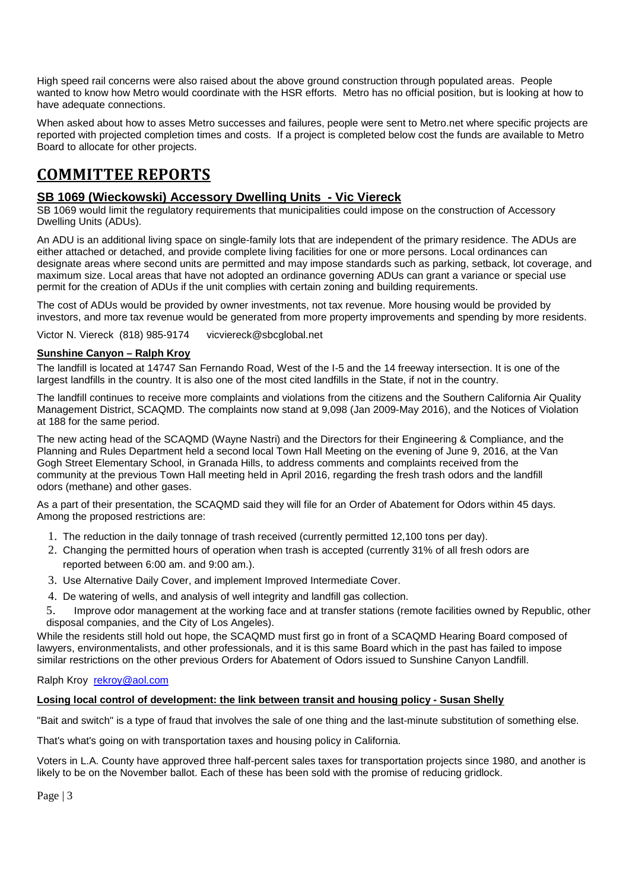High speed rail concerns were also raised about the above ground construction through populated areas. People wanted to know how Metro would coordinate with the HSR efforts. Metro has no official position, but is looking at how to have adequate connections.

When asked about how to asses Metro successes and failures, people were sent to Metro.net where specific projects are reported with projected completion times and costs. If a project is completed below cost the funds are available to Metro Board to allocate for other projects.

# **COMMITTEE REPORTS**

## **SB 1069 (Wieckowski) Accessory Dwelling Units - Vic Viereck**

SB 1069 would limit the regulatory requirements that municipalities could impose on the construction of Accessory Dwelling Units (ADUs).

An ADU is an additional living space on single-family lots that are independent of the primary residence. The ADUs are either attached or detached, and provide complete living facilities for one or more persons. Local ordinances can designate areas where second units are permitted and may impose standards such as parking, setback, lot coverage, and maximum size. Local areas that have not adopted an ordinance governing ADUs can grant a variance or special use permit for the creation of ADUs if the unit complies with certain zoning and building requirements.

The cost of ADUs would be provided by owner investments, not tax revenue. More housing would be provided by investors, and more tax revenue would be generated from more property improvements and spending by more residents.

Victor N. Viereck (818) 985-9174 vicviereck@sbcglobal.net

#### **Sunshine Canyon – Ralph Kroy**

The landfill is located at 14747 San Fernando Road, West of the I-5 and the 14 freeway intersection. It is one of the largest landfills in the country. It is also one of the most cited landfills in the State, if not in the country.

The landfill continues to receive more complaints and violations from the citizens and the Southern California Air Quality Management District, SCAQMD. The complaints now stand at 9,098 (Jan 2009-May 2016), and the Notices of Violation at 188 for the same period.

The new acting head of the SCAQMD (Wayne Nastri) and the Directors for their Engineering & Compliance, and the Planning and Rules Department held a second local Town Hall Meeting on the evening of June 9, 2016, at the Van Gogh Street Elementary School, in Granada Hills, to address comments and complaints received from the community at the previous Town Hall meeting held in April 2016, regarding the fresh trash odors and the landfill odors (methane) and other gases.

As a part of their presentation, the SCAQMD said they will file for an Order of Abatement for Odors within 45 days. Among the proposed restrictions are:

- 1. The reduction in the daily tonnage of trash received (currently permitted 12,100 tons per day).
- 2. Changing the permitted hours of operation when trash is accepted (currently 31% of all fresh odors are reported between 6:00 am. and 9:00 am.).
- 3. Use Alternative Daily Cover, and implement Improved Intermediate Cover.
- 4. De watering of wells, and analysis of well integrity and landfill gas collection.

5. Improve odor management at the working face and at transfer stations (remote facilities owned by Republic, other disposal companies, and the City of Los Angeles).

While the residents still hold out hope, the SCAQMD must first go in front of a SCAQMD Hearing Board composed of lawyers, environmentalists, and other professionals, and it is this same Board which in the past has failed to impose similar restrictions on the other previous Orders for Abatement of Odors issued to Sunshine Canyon Landfill.

### Ralph Kroy rekroy@aol.com

### **Losing local control of development: the link between transit and housing policy - Susan Shelly**

"Bait and switch" is a type of fraud that involves the sale of one thing and the last-minute substitution of something else.

That's what's going on with transportation taxes and housing policy in California.

Voters in L.A. County have approved three half-percent sales taxes for transportation projects since 1980, and another is likely to be on the November ballot. Each of these has been sold with the promise of reducing gridlock.

Page | 3